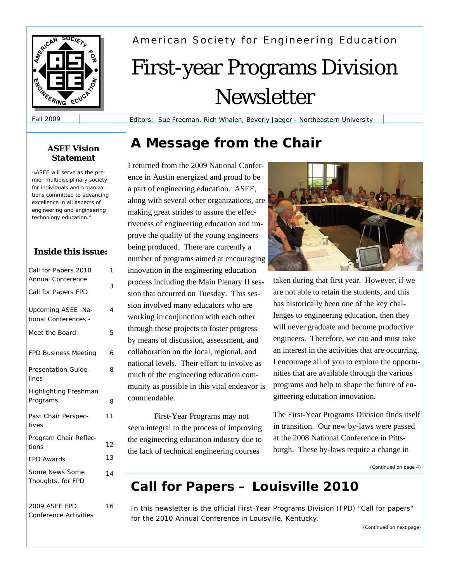

American Society for Engineering Education

# First-year Programs Division Newsletter

Fall 2009

Editors: Sue Freeman, Rich Whalen, Beverly Jaeger - Northeastern University

# **A Message from the Chair** *ASEE Vision*

I returned from the 2009 National Conference in Austin energized and proud to be a part of engineering education. ASEE, along with several other organizations, are making great strides to assure the effectiveness of engineering education and improve the quality of the young engineers being produced. There are currently a number of programs aimed at encouraging innovation in the engineering education process including the Main Plenary II session that occurred on Tuesday. This session involved many educators who are working in conjunction with each other through these projects to foster progress by means of discussion, assessment, and collaboration on the local, regional, and national levels. Their effort to involve as much of the engineering education community as possible in this vital endeavor is commendable.

First-Year Programs may not seem integral to the process of improving the engineering education industry due to the lack of technical engineering courses



taken during that first year. However, if we are not able to retain the students, and this has historically been one of the key challenges to engineering education, then they will never graduate and become productive engineers. Therefore, we can and must take an interest in the activities that are occurring. I encourage all of you to explore the opportunities that are available through the various programs and help to shape the future of engineering education innovation.

The First-Year Programs Division finds itself in transition. Our new by-laws were passed at the 2008 National Conference in Pittsburgh. These by-laws require a change in

*(Continued on page 4)* 

# **Call for Papers – Louisville 2010**

In this newsletter is the official First-Year Programs Division (FPD) "Call for papers" for the 2010 Annual Conference in Louisville, Kentucky.

*(Continued on next page)* 

# *Statement*

*"AASEE will serve as the premier multidisciplinary society for individuals and organizations committed to advancing excellence in all aspects of engineering and engineering technology education."*

## **Inside this issue:**

| Call for Papers 2010         | $\mathcal{I}$ |
|------------------------------|---------------|
| Annual Conference            | 3             |
| Call for Papers FPD          |               |
| Upcoming ASEE Na-            | 4             |
| tional Conferences -         |               |
| Meet the Board               | 5             |
| <b>FPD Business Meeting</b>  | 6             |
| <b>Presentation Guide-</b>   | 8             |
| lines                        |               |
| <b>Highlighting Freshman</b> |               |
| Programs                     | 8             |
| Past Chair Perspec-          | 11            |
| tives                        |               |
| Program Chair Reflec-        |               |
| tions                        | 12            |
| <b>FPD Awards</b>            | 13            |
| Some News Some               | 14            |
| Thoughts, for FPD            |               |
| <b>2009 ASEE FPD</b>         | 16            |

*Conference Activities*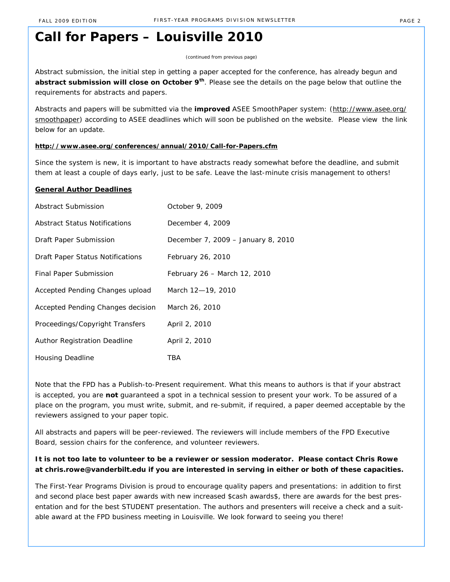# **Call for Papers – Louisville 2010**

*(continued from previous page)*

Abstract submission, the initial step in getting a paper accepted for the conference, has already begun and **abstract submission will close on October 9th**. Please see the details on the page below that outline the requirements for abstracts and papers.

Abstracts and papers will be submitted via the *improved* ASEE SmoothPaper system: (http://www.asee.org/ smoothpaper) according to ASEE deadlines which will soon be published on the website. Please view the link below for an update.

#### **http://www.asee.org/conferences/annual/2010/Call-for-Papers.cfm**

Since the system is new, it is important to have abstracts ready somewhat before the deadline, and submit them at least a couple of days early, just to be safe. Leave the last-minute crisis management to others!

#### **General Author Deadlines**

| Abstract Submission               | October 9, 2009                    |
|-----------------------------------|------------------------------------|
| Abstract Status Notifications     | December 4, 2009                   |
| Draft Paper Submission            | December 7, 2009 - January 8, 2010 |
| Draft Paper Status Notifications  | February 26, 2010                  |
| Final Paper Submission            | February 26 - March 12, 2010       |
| Accepted Pending Changes upload   | March 12-19, 2010                  |
| Accepted Pending Changes decision | March 26, 2010                     |
| Proceedings/Copyright Transfers   | April 2, 2010                      |
| Author Registration Deadline      | April 2, 2010                      |
| <b>Housing Deadline</b>           | TBA                                |

Note that the FPD has a Publish-to-Present requirement. What this means to authors is that if your abstract is accepted, you are **not** guaranteed a spot in a technical session to present your work. To be assured of a place on the program, you must write, submit, and re-submit, if required, a paper deemed acceptable by the reviewers assigned to your paper topic.

All abstracts and papers will be peer-reviewed. The reviewers will include members of the FPD Executive Board, session chairs for the conference, and volunteer reviewers.

### **It is not too late to volunteer to be a reviewer or session moderator. Please contact Chris Rowe at chris.rowe@vanderbilt.edu if you are interested in serving in either or both of these capacities.**

The First-Year Programs Division is proud to encourage quality papers and presentations: in addition to first and second place best paper awards *with new increased \$cash awards\$*, there are awards for the best presentation and for the best STUDENT presentation. The authors and presenters will receive a check and a suitable award at the FPD business meeting in Louisville. We look forward to seeing you there!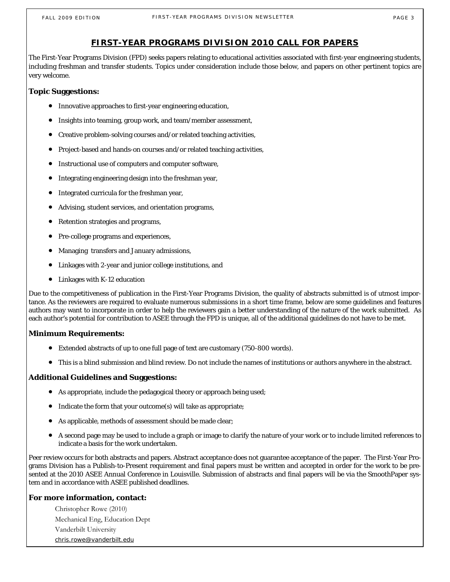## **FIRST-YEAR PROGRAMS DIVISION 2010 CALL FOR PAPERS**

The First-Year Programs Division (FPD) seeks papers relating to educational activities associated with first-year engineering students, including freshman and transfer students. Topics under consideration include those below, and papers on other pertinent topics are very welcome.

## **Topic Suggestions:**

- Innovative approaches to first-year engineering education,
- Insights into teaming, group work, and team/member assessment,
- Creative problem-solving courses and/or related teaching activities,
- Project-based and hands-on courses and/or related teaching activities,
- Instructional use of computers and computer software,
- Integrating engineering design into the freshman year,
- Integrated curricula for the freshman year,
- Advising, student services, and orientation programs,
- Retention strategies and programs,
- Pre-college programs and experiences,
- Managing transfers and January admissions,
- Linkages with 2-year and junior college institutions, and
- Linkages with K-12 education

Due to the competitiveness of publication in the First-Year Programs Division, the quality of abstracts submitted is of utmost importance. As the reviewers are required to evaluate numerous submissions in a short time frame, below are some guidelines and features authors may want to incorporate in order to help the reviewers gain a better understanding of the nature of the work submitted. As each author's potential for contribution to ASEE through the FPD is unique, all of the additional guidelines do not have to be met.

## **Minimum Requirements:**

- Extended abstracts of up to one full page of text are customary (750-800 words).
- This is a blind submission and blind review. Do not include the names of institutions or authors anywhere in the abstract.

## **Additional Guidelines and Suggestions:**

- As appropriate, include the pedagogical theory or approach being used;
- Indicate the form that your outcome(s) will take as appropriate;
- As applicable, methods of assessment should be made clear;
- A second page may be used to include a graph or image to clarify the nature of your work or to include limited references to indicate a basis for the work undertaken.

Peer review occurs for both abstracts and papers. Abstract acceptance does not guarantee acceptance of the paper. The First-Year Programs Division has a Publish-to-Present requirement and final papers must be written and accepted in order for the work to be presented at the 2010 ASEE Annual Conference in Louisville. Submission of abstracts and final papers will be via the SmoothPaper system and in accordance with ASEE published deadlines.

## **For more information, contact:**

Christopher Rowe (2010) Mechanical Eng, Education Dept Vanderbilt University chris.rowe@vanderbilt.edu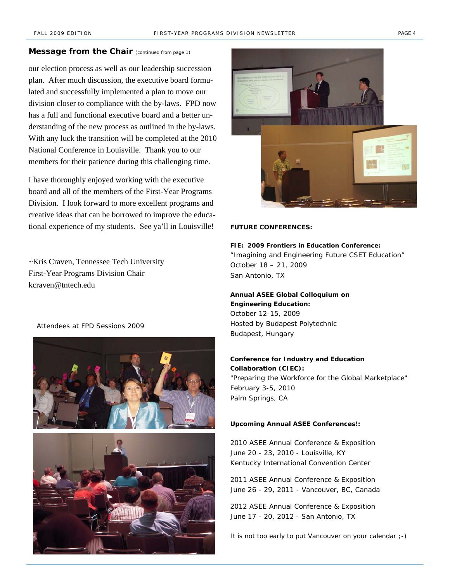#### **Message from the Chair** (continued from page 1)

our election process as well as our leadership succession plan. After much discussion, the executive board formulated and successfully implemented a plan to move our division closer to compliance with the by-laws. FPD now has a full and functional executive board and a better understanding of the new process as outlined in the by-laws. With any luck the transition will be completed at the 2010 National Conference in Louisville. Thank you to our members for their patience during this challenging time.

I have thoroughly enjoyed working with the executive board and all of the members of the First-Year Programs Division. I look forward to more excellent programs and creative ideas that can be borrowed to improve the educational experience of my students. See ya'll in Louisville!

~Kris Craven, Tennessee Tech University First-Year Programs Division Chair kcraven@tntech.edu

*Attendees at FPD Sessions 2009*





#### **FUTURE CONFERENCES:**

**FIE: 2009 Frontiers in Education Conference:** *"Imagining and Engineering Future CSET Education"* October 18 – 21, 2009 San Antonio, TX

## **Annual ASEE Global Colloquium on Engineering Education:**  October 12-15, 2009 Hosted by Budapest Polytechnic Budapest, Hungary

## **Conference for Industry and Education**

**Collaboration (CIEC):**  *"Preparing the Workforce for the Global Marketplace"* February 3-5, 2010 Palm Springs, CA

#### **Upcoming Annual ASEE Conferences!:**

2010 ASEE Annual Conference & Exposition June 20 - 23, 2010 - Louisville, KY Kentucky International Convention Center

2011 ASEE Annual Conference & Exposition June 26 - 29, 2011 - Vancouver, BC, Canada

2012 ASEE Annual Conference & Exposition June 17 - 20, 2012 - San Antonio, TX

*It is not too early to put Vancouver on your calendar ;-)*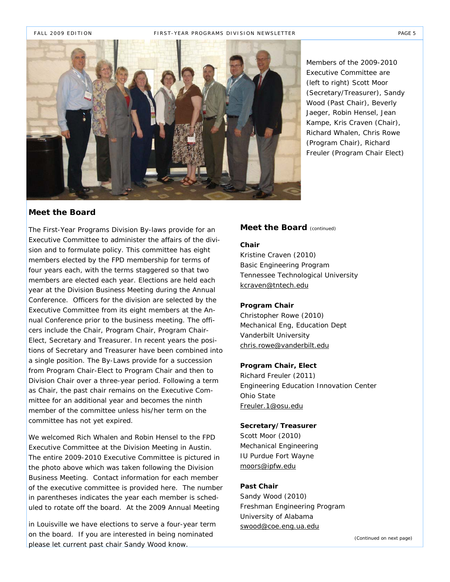

*Members of the 2009-2010 Executive Committee are (left to right) Scott Moor (Secretary/Treasurer), Sandy Wood (Past Chair), Beverly Jaeger, Robin Hensel, Jean Kampe, Kris Craven (Chair), Richard Whalen, Chris Rowe (Program Chair), Richard Freuler (Program Chair Elect)*

#### **Meet the Board**

The First-Year Programs Division By-laws provide for an Executive Committee to administer the affairs of the division and to formulate policy. This committee has eight members elected by the FPD membership for terms of four years each, with the terms staggered so that two members are elected each year. Elections are held each year at the Division Business Meeting during the Annual Conference. Officers for the division are selected by the Executive Committee from its eight members at the Annual Conference prior to the business meeting. The officers include the Chair, Program Chair, Program Chair-Elect, Secretary and Treasurer. In recent years the positions of Secretary and Treasurer have been combined into a single position. The By-Laws provide for a succession from Program Chair-Elect to Program Chair and then to Division Chair over a three-year period. Following a term as Chair, the past chair remains on the Executive Committee for an additional year and becomes the ninth member of the committee unless his/her term on the committee has not yet expired.

We welcomed Rich Whalen and Robin Hensel to the FPD Executive Committee at the Division Meeting in Austin. The entire 2009-2010 Executive Committee is pictured in the photo above which was taken following the Division Business Meeting. Contact information for each member of the executive committee is provided here. The number in parentheses indicates the year each member is scheduled to rotate off the board. At the 2009 Annual Meeting

in Louisville we have elections to serve a four-year term on the board. If you are interested in being nominated please let current past chair Sandy Wood know.

#### **Meet the Board** (continued)

#### **Chair**

Kristine Craven (2010) Basic Engineering Program Tennessee Technological University kcraven@tntech.edu

#### **Program Chair**

Christopher Rowe (2010) Mechanical Eng, Education Dept Vanderbilt University chris.rowe@vanderbilt.edu

#### **Program Chair, Elect**

Richard Freuler (2011) Engineering Education Innovation Center Ohio State Freuler.1@osu.edu

#### **Secretary/Treasurer**

Scott Moor (2010) Mechanical Engineering IU Purdue Fort Wayne moors@ipfw.edu

#### **Past Chair**

Sandy Wood (2010) Freshman Engineering Program University of Alabama swood@coe.eng.ua.edu

*(Continued on next page)*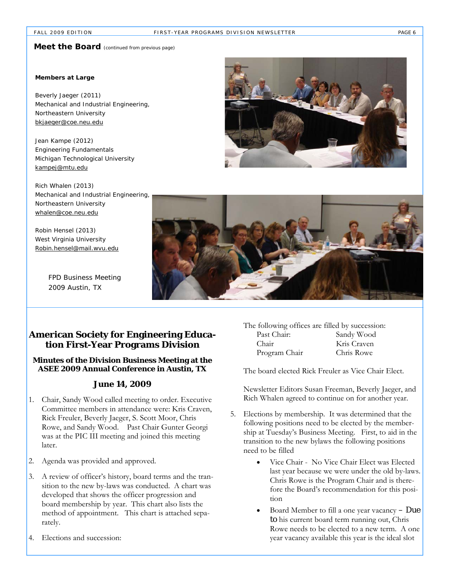## **Meet the Board** (continued from previous page)

#### **Members at Large**

Beverly Jaeger (2011) Mechanical and Industrial Engineering, Northeastern University bkjaeger@coe.neu.edu

Jean Kampe (2012) Engineering Fundamentals Michigan Technological University kampej@mtu.edu

Rich Whalen (2013) Mechanical and Industrial Engineering, Northeastern University whalen@coe.neu.edu

Robin Hensel (2013) West Virginia University Robin.hensel@mail.wvu.edu

> *FPD Business Meeting 2009 Austin, TX*





## **American Society for Engineering Education First-Year Programs Division**

#### **Minutes of the Division Business Meeting at the ASEE 2009 Annual Conference in Austin, TX**

#### **June 14, 2009**

- 1. Chair, Sandy Wood called meeting to order. Executive Committee members in attendance were: Kris Craven, Rick Freuler, Beverly Jaeger, S. Scott Moor, Chris Rowe, and Sandy Wood. Past Chair Gunter Georgi was at the PIC III meeting and joined this meeting later.
- 2. Agenda was provided and approved.
- 3. A review of officer's history, board terms and the transition to the new by-laws was conducted. A chart was developed that shows the officer progression and board membership by year. This chart also lists the method of appointment. This chart is attached separately.
- 4. Elections and succession:

| The following offices are filled by succession: |             |
|-------------------------------------------------|-------------|
| Past Chair:                                     | Sandy Wood  |
| Chair                                           | Kris Craven |
| Program Chair                                   | Chris Rowe  |

The board elected Rick Freuler as Vice Chair Elect.

Newsletter Editors Susan Freeman, Beverly Jaeger, and Rich Whalen agreed to continue on for another year.

- 5. Elections by membership. It was determined that the following positions need to be elected by the membership at Tuesday's Business Meeting. First, to aid in the transition to the new bylaws the following positions need to be filled
	- Vice Chair No Vice Chair Elect was Elected last year because we were under the old by-laws. Chris Rowe is the Program Chair and is therefore the Board's recommendation for this position
	- Board Member to fill a one year vacancy  $-\textbf{Due}$ to his current board term running out, Chris Rowe needs to be elected to a new term. A one year vacancy available this year is the ideal slot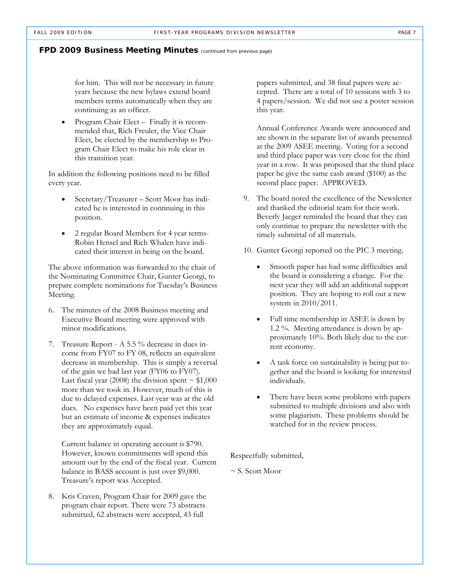#### **FPD 2009 Business Meeting Minutes** *(continued from previous page)*

for him. This will not be necessary in future years because the new bylaws extend board members terms automatically when they are continuing as an officer.

Program Chair Elect – Finally it is recommended that, Rich Freuler, the Vice Chair Elect, be elected by the membership to Program Chair Elect to make his role clear in this transition year.

In addition the following positions need to be filled every year.

- Secretary/Treasurer Scott Moor has indicated he is interested in continuing in this position.
- 2 regular Board Members for 4 year terms-Robin Hensel and Rich Whalen have indicated their interest in being on the board.

The above information was forwarded to the chair of the Nominating Committee Chair, Gunter Georgi, to prepare complete nominations for Tuesday's Business Meeting.

- 6. The minutes of the 2008 Business meeting and Executive Board meeting were approved with minor modifications.
- 7. Treasure Report A 5.5 % decrease in dues income from FY07 to FY 08, reflects an equivalent decrease in membership. This is simply a reversal of the gain we had last year (FY06 to FY07). Last fiscal year (2008) the division spent  $\sim$  \$1,000 more than we took in. However, much of this is due to delayed expenses. Last year was at the old dues. No expenses have been paid yet this year but an estimate of income & expenses indicates they are approximately equal.

Current balance in operating account is \$790. However, known commitments will spend this amount out by the end of the fiscal year. Current balance in BASS account is just over \$9,000. Treasure's report was Accepted.

8. Kris Craven, Program Chair for 2009 gave the program chair report. There were 73 abstracts submitted, 62 abstracts were accepted, 43 full

papers submitted, and 38 final papers were accepted. There are a total of 10 sessions with 3 to 4 papers/session. We did not use a poster session this year.

Annual Conference Awards were announced and are shown in the separate list of awards presented at the 2009 ASEE meeting. Voting for a second and third place paper was very close for the third year in a row. It was proposed that the third place paper be give the same cash award (\$100) as the second place paper. APPROVED.

- 9. The board noted the excellence of the Newsletter and thanked the editorial team for their work. Beverly Jaeger reminded the board that they can only continue to prepare the newsletter with the timely submittal of all materials.
- 10. Gunter Georgi reported on the PIC 3 meeting.
	- Smooth paper has had some difficulties and the board is considering a change. For the next year they will add an additional support position. They are hoping to roll out a new system in 2010/2011.
	- Full time membership in ASEE is down by 1.2 %. Meeting attendance is down by approximately 10%. Both likely due to the current economy.
	- A task force on sustainability is being put together and the board is looking for interested individuals.
	- There have been some problems with papers submitted to multiple divisions and also with some plagiarism. These problems should be watched for in the review process.

Respectfully submitted,

 $\sim$  S. Scott Moor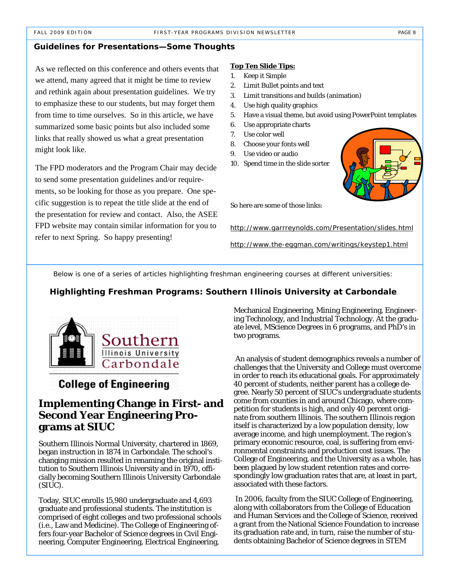#### **Guidelines for Presentations—Some Thoughts**

As we reflected on this conference and others events that we attend, many agreed that it might be time to review and rethink again about presentation guidelines. We try to emphasize these to our students, but may forget them from time to time ourselves. So in this article, we have summarized some basic points but also included some links that really showed us what a great presentation might look like.

The FPD moderators and the Program Chair may decide to send some presentation guidelines and/or requirements, so be looking for those as you prepare. One specific suggestion is to repeat the title slide at the end of the presentation for review and contact. Also, the ASEE FPD website may contain similar information for you to refer to next Spring. So happy presenting!

#### **Top Ten Slide Tips:**

- 1. Keep it Simple
- 2. Limit Bullet points and text
- 3. Limit transitions and builds (animation)
- 4. Use high quality graphics
- 5. Have a visual theme, but avoid using PowerPoint templates
- 6. Use appropriate charts
- 7. Use color well
- 8. Choose your fonts well
- 9. Use video or audio
- 10. Spend time in the slide sorter



So here are some of those links:

http://www.garrreynolds.com/Presentation/slides.html

http://www.the-eggman.com/writings/keystep1.html

*Below is one of a series of articles highlighting freshman engineering courses at different universities:* 

#### **Highlighting Freshman Programs: Southern Illinois University at Carbondale**



## **College of Engineering**

## **Implementing Change in First- and Second Year Engineering Programs at SIUC**

Southern Illinois Normal University, chartered in 1869, began instruction in 1874 in Carbondale. The school's changing mission resulted in renaming the original institution to Southern Illinois University and in 1970, officially becoming Southern Illinois University Carbondale (SIUC).

Today, SIUC enrolls 15,980 undergraduate and 4,693 graduate and professional students. The institution is comprised of eight colleges and two professional schools (i.e., Law and Medicine). The College of Engineering offers four-year Bachelor of Science degrees in Civil Engineering, Computer Engineering, Electrical Engineering,

Mechanical Engineering, Mining Engineering, Engineering Technology, and Industrial Technology. At the graduate level, MScience Degrees in 6 programs, and PhD's in two programs.

 An analysis of student demographics reveals a number of challenges that the University and College must overcome in order to reach its educational goals. For approximately 40 percent of students, neither parent has a college degree. Nearly 50 percent of SIUC's undergraduate students come from counties in and around Chicago, where competition for students is high, and only 40 percent originate from southern Illinois. The southern Illinois region itself is characterized by a low population density, low average income, and high unemployment. The region's primary economic resource, coal, is suffering from environmental constraints and production cost issues. The College of Engineering, and the University as a whole, has been plagued by low student retention rates and correspondingly low graduation rates that are, at least in part, associated with these factors.

 In 2006, faculty from the SIUC College of Engineering, along with collaborators from the College of Education and Human Services and the College of Science, received a grant from the National Science Foundation to increase its graduation rate and, in turn, raise the number of students obtaining Bachelor of Science degrees in STEM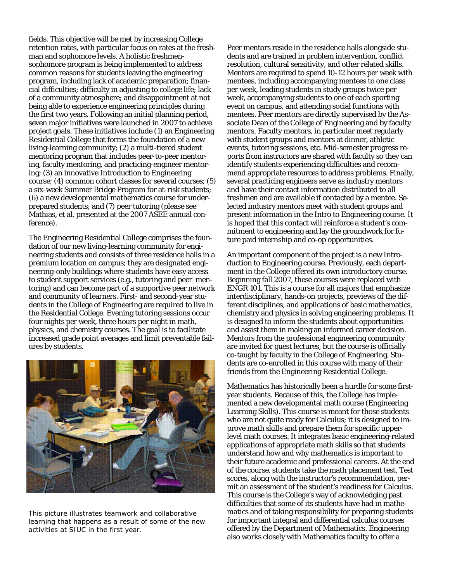fields. This objective will be met by increasing College retention rates, with particular focus on rates at the freshman and sophomore levels. A holistic freshmensophomore program is being implemented to address common reasons for students leaving the engineering program, including lack of academic preparation; financial difficulties; difficulty in adjusting to college life; lack of a community atmosphere; and disappointment at not being able to experience engineering principles during the first two years. Following an initial planning period, seven major initiatives were launched in 2007 to achieve project goals. These initiatives include (1) an Engineering Residential College that forms the foundation of a new living-learning community; (2) a multi-tiered student mentoring program that includes peer-to-peer mentoring, faculty mentoring, and practicing-engineer mentoring; (3) an innovative Introduction to Engineering course; (4) common cohort classes for several courses; (5) a six-week Summer Bridge Program for at-risk students; (6) a new developmental mathematics course for underprepared students; and (7) peer tutoring (please see Mathias, et al. presented at the 2007 ASEE annual conference).

The Engineering Residential College comprises the foundation of our new living-learning community for engineering students and consists of three residence halls in a premium location on campus; they are designated engineering-only buildings where students have easy access to student support services (e.g., tutoring and peer mentoring) and can become part of a supportive peer network and community of learners. First- and second-year students in the College of Engineering are required to live in the Residential College. Evening tutoring sessions occur four nights per week, three hours per night in math, physics, and chemistry courses. The goal is to facilitate increased grade point averages and limit preventable failures by students.



*This picture illustrates teamwork and collaborative learning that happens as a result of some of the new activities at SIUC in the first year.* 

Peer mentors reside in the residence halls alongside students and are trained in problem intervention, conflict resolution, cultural sensitivity, and other related skills. Mentors are required to spend 10-12 hours per week with mentees, including accompanying mentees to one class per week, leading students in study groups twice per week, accompanying students to one of each sporting event on campus, and attending social functions with mentees. Peer mentors are directly supervised by the Associate Dean of the College of Engineering and by faculty mentors. Faculty mentors, in particular meet regularly with student groups and mentors at dinner, athletic events, tutoring sessions, etc. Mid-semester progress reports from instructors are shared with faculty so they can identify students experiencing difficulties and recommend appropriate resources to address problems. Finally, several practicing engineers serve as industry mentors and have their contact information distributed to all freshmen and are available if contacted by a mentee. Selected industry mentors meet with student groups and present information in the Intro to Engineering course. It is hoped that this contact will reinforce a student's commitment to engineering and lay the groundwork for future paid internship and co-op opportunities.

An important component of the project is a new Introduction to Engineering course. Previously, each department in the College offered its own introductory course. Beginning fall 2007, these courses were replaced with ENGR 101. This is a course for all majors that emphasize interdisciplinary, hands-on projects, previews of the different disciplines, and applications of basic mathematics, chemistry and physics in solving engineering problems. It is designed to inform the students about opportunities and assist them in making an informed career decision. Mentors from the professional engineering community are invited for guest lectures, but the course is officially co-taught by faculty in the College of Engineering. Students are co-enrolled in this course with many of their friends from the Engineering Residential College.

Mathematics has historically been a hurdle for some firstyear students. Because of this, the College has implemented a new developmental math course (Engineering Learning Skills). This course is meant for those students who are not quite ready for Calculus; it is designed to improve math skills and prepare them for specific upperlevel math courses. It integrates basic engineering-related applications of appropriate math skills so that students understand how and why mathematics is important to their future academic and professional careers. At the end of the course, students take the math placement test. Test scores, along with the instructor's recommendation, permit an assessment of the student's readiness for Calculus. This course is the College's way of acknowledging past difficulties that some of its students have had in mathematics and of taking responsibility for preparing students for important integral and differential calculus courses offered by the Department of Mathematics. Engineering also works closely with Mathematics faculty to offer a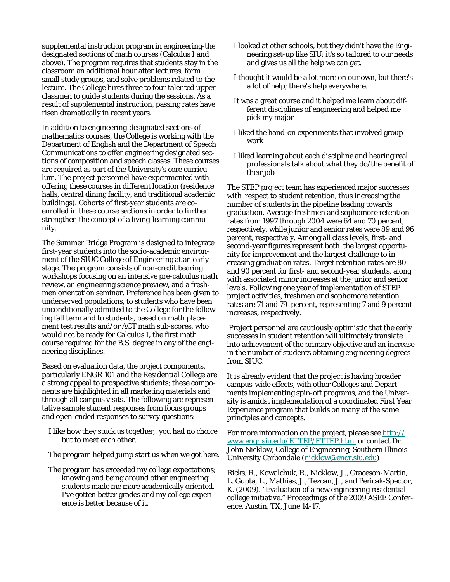supplemental instruction program in engineering-the designated sections of math courses (Calculus I and above). The program requires that students stay in the classroom an additional hour after lectures, form small study groups, and solve problems related to the lecture. The College hires three to four talented upperclassmen to guide students during the sessions. As a result of supplemental instruction, passing rates have risen dramatically in recent years.

In addition to engineering-designated sections of mathematics courses, the College is working with the Department of English and the Department of Speech Communications to offer engineering designated sections of composition and speech classes. These courses are required as part of the University's core curriculum. The project personnel have experimented with offering these courses in different location (residence halls, central dining facility, and traditional academic buildings). Cohorts of first-year students are coenrolled in these course sections in order to further strengthen the concept of a living-learning community.

The Summer Bridge Program is designed to integrate first-year students into the socio-academic environment of the SIUC College of Engineering at an early stage. The program consists of non-credit bearing workshops focusing on an intensive pre-calculus math review, an engineering science preview, and a freshmen orientation seminar. Preference has been given to underserved populations, to students who have been unconditionally admitted to the College for the following fall term and to students, based on math placement test results and/or ACT math sub-scores, who would not be ready for Calculus I, the first math course required for the B.S. degree in any of the engineering disciplines.

Based on evaluation data, the project components, particularly ENGR 101 and the Residential College are a strong appeal to prospective students; these components are highlighted in all marketing materials and through all campus visits. The following are representative sample student responses from focus groups and open-ended responses to survey questions:

- I like how they stuck us together; you had no choice but to meet each other.
- The program helped jump start us when we got here.
- The program has exceeded my college expectations; knowing and being around other engineering students made me more academically oriented. I've gotten better grades and my college experience is better because of it.
- I looked at other schools, but they didn't have the Engineering set-up like SIU; it's so tailored to our needs and gives us all the help we can get.
- I thought it would be a lot more on our own, but there's a lot of help; there's help everywhere.
- It was a great course and it helped me learn about different disciplines of engineering and helped me pick my major
- I liked the hand-on experiments that involved group work
- I liked learning about each discipline and hearing real professionals talk about what they do/the benefit of their job

The STEP project team has experienced major successes with respect to student retention, thus increasing the number of students in the pipeline leading towards graduation. Average freshmen and sophomore retention rates from 1997 through 2004 were 64 and 70 percent, respectively, while junior and senior rates were 89 and 96 percent, respectively. Among all class levels, first- and second-year figures represent both the largest opportunity for improvement and the largest challenge to increasing graduation rates. Target retention rates are 80 and 90 percent for first- and second-year students, along with associated minor increases at the junior and senior levels. Following one year of implementation of STEP project activities, freshmen and sophomore retention rates are 71 and 79 percent, representing 7 and 9 percent increases, respectively.

 Project personnel are cautiously optimistic that the early successes in student retention will ultimately translate into achievement of the primary objective and an increase in the number of students obtaining engineering degrees from SIUC.

It is already evident that the project is having broader campus-wide effects, with other Colleges and Departments implementing spin-off programs, and the University is amidst implementation of a coordinated First Year Experience program that builds on many of the same principles and concepts.

For more information on the project, please see http:// www.engr.siu.edu/ETTEP/ETTEP.html or contact Dr. John Nicklow, College of Engineering, Southern Illinois University Carbondale (nicklow@engr.siu.edu)

Ricks, R., Kowalchuk, R., Nicklow, J., Graceson-Martin, L. Gupta, L., Mathias, J., Tezcan, J., and Pericak-Spector, K. (2009). "Evaluation of a new engineering residential college initiative." *Proceedings of the 2009 ASEE Conference*, Austin, TX, June 14-17.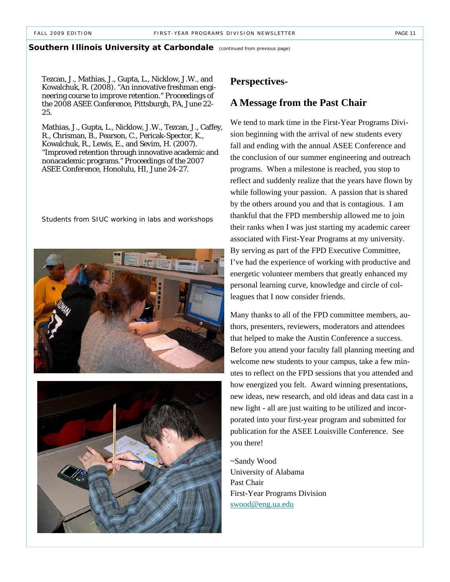#### **Southern Illinois University at Carbondale** (continued from previous page)

Tezcan, J., Mathias, J., Gupta, L., Nicklow, J.W., and Kowalchuk, R. (2008). "An innovative freshman engineering course to improve retention." *Proceedings of the 2008 ASEE Conference*, Pittsburgh, PA, June 22- 25.

Mathias, J., Gupta, L., Nicklow, J.W., Tezcan, J., Caffey, R., Chrisman, B., Pearson, C., Pericak-Spector, K., Kowalchuk, R., Lewis, E., and Sevim, H. (2007). "Improved retention through innovative academic and nonacademic programs." *Proceedings of the 2007 ASEE Conference*, Honolulu, HI, June 24-27.

*Students from SIUC working in labs and workshops* 





## **Perspectives-**

## **A Message from the Past Chair**

We tend to mark time in the First-Year Programs Division beginning with the arrival of new students every fall and ending with the annual ASEE Conference and the conclusion of our summer engineering and outreach programs. When a milestone is reached, you stop to reflect and suddenly realize that the years have flown by while following your passion. A passion that is shared by the others around you and that is contagious. I am thankful that the FPD membership allowed me to join their ranks when I was just starting my academic career associated with First-Year Programs at my university. By serving as part of the FPD Executive Committee, I've had the experience of working with productive and energetic volunteer members that greatly enhanced my personal learning curve, knowledge and circle of colleagues that I now consider friends.

Many thanks to all of the FPD committee members, authors, presenters, reviewers, moderators and attendees that helped to make the Austin Conference a success. Before you attend your faculty fall planning meeting and welcome new students to your campus, take a few minutes to reflect on the FPD sessions that you attended and how energized you felt. Award winning presentations, new ideas, new research, and old ideas and data cast in a new light - all are just waiting to be utilized and incorporated into your first-year program and submitted for publication for the ASEE Louisville Conference. See you there!

~Sandy Wood University of Alabama Past Chair First-Year Programs Division swood@eng.ua.edu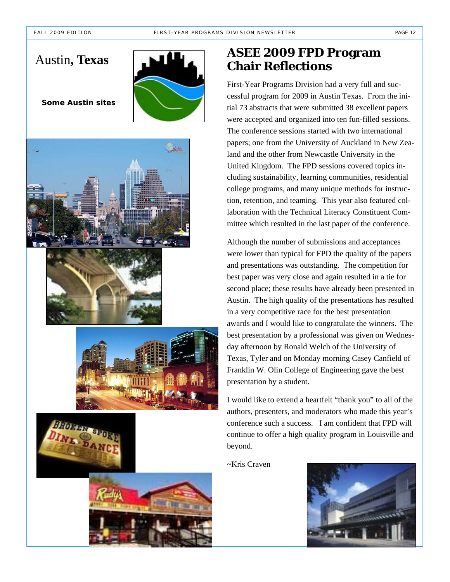## Austin**, Texas**



*Some Austin sites* 











## **ASEE 2009 FPD Program Chair Reflections**

First-Year Programs Division had a very full and successful program for 2009 in Austin Texas. From the initial 73 abstracts that were submitted 38 excellent papers were accepted and organized into ten fun-filled sessions. The conference sessions started with two international papers; one from the University of Auckland in New Zealand and the other from Newcastle University in the United Kingdom. The FPD sessions covered topics including sustainability, learning communities, residential college programs, and many unique methods for instruction, retention, and teaming. This year also featured collaboration with the Technical Literacy Constituent Committee which resulted in the last paper of the conference.

Although the number of submissions and acceptances were lower than typical for FPD the quality of the papers and presentations was outstanding. The competition for best paper was very close and again resulted in a tie for second place; these results have already been presented in Austin. The high quality of the presentations has resulted in a very competitive race for the best presentation awards and I would like to congratulate the winners. The best presentation by a professional was given on Wednesday afternoon by Ronald Welch of the University of Texas, Tyler and on Monday morning Casey Canfield of Franklin W. Olin College of Engineering gave the best presentation by a student.

I would like to extend a heartfelt "thank you" to all of the authors, presenters, and moderators who made this year's conference such a success. I am confident that FPD will continue to offer a high quality program in Louisville and beyond.

~Kris Craven

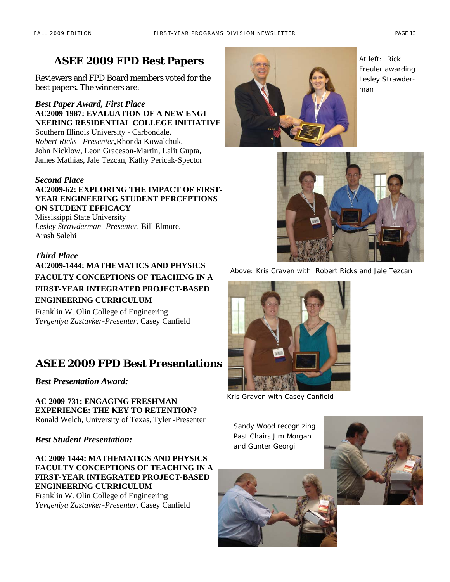## **ASEE 2009 FPD Best Papers**

Reviewers and FPD Board members voted for the best papers. The winners are:

*Best Paper Award, First Place*  **AC2009-1987: EVALUATION OF A NEW ENGI-NEERING RESIDENTIAL COLLEGE INITIATIVE**  Southern Illinois University - Carbondale. *Robert Ricks –Presenter ,*Rhonda Kowalchuk,

John Nicklow, Leon Graceson-Martin, Lalit Gupta, James Mathias, Jale Tezcan, Kathy Pericak-Spector

## *Second Place*

**AC2009-62: EXPLORING THE IMPACT OF FIRST-YEAR ENGINEERING STUDENT PERCEPTIONS ON STUDENT EFFICACY** 

Mississippi State University *Lesley Strawderman- Presenter,* Bill Elmore, Arash Salehi

## *Third Place*

**AC2009-1444: MATHEMATICS AND PHYSICS FACULTY CONCEPTIONS OF TEACHING IN A FIRST-YEAR INTEGRATED PROJECT-BASED ENGINEERING CURRICULUM** 

Franklin W. Olin College of Engineering *Yevgeniya Zastavker-Presenter*, Casey Canfield \_\_\_\_\_\_\_\_\_\_\_\_\_\_\_\_\_\_\_\_\_\_\_\_\_\_\_\_\_\_\_\_\_\_\_

## **ASEE 2009 FPD Best Presentations**

*Best Presentation Award:*

**AC 2009-731: ENGAGING FRESHMAN EXPERIENCE: THE KEY TO RETENTION?**  Ronald Welch, University of Texas, Tyler -Presenter

*Best Student Presentation:* 

**AC 2009-1444: MATHEMATICS AND PHYSICS FACULTY CONCEPTIONS OF TEACHING IN A FIRST-YEAR INTEGRATED PROJECT-BASED ENGINEERING CURRICULUM** 

Franklin W. Olin College of Engineering *Yevgeniya Zastavker-Presenter*, Casey Canfield



*At left: Rick Freuler awarding Lesley Strawderman* 



*Above: Kris Craven with Robert Ricks and Jale Tezcan* 



*Kris Graven with Casey Canfield* 

*Sandy Wood recognizing Past Chairs Jim Morgan and Gunter Georgi* 

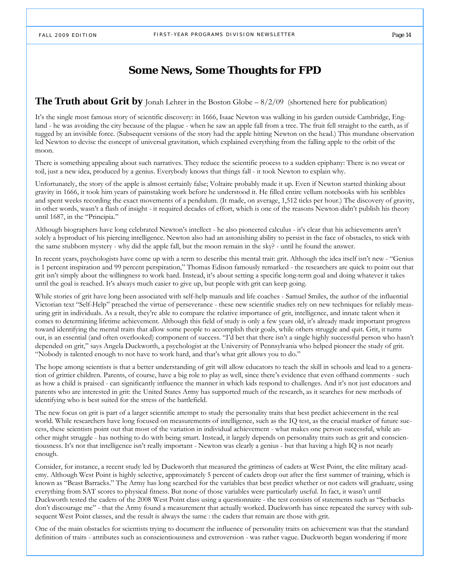## **Some News, Some Thoughts for FPD**

### **The Truth about Grit by** Jonah Lehrer in the Boston Globe – 8/2/09 (shortened here for publication)

It's the single most famous story of scientific discovery: in 1666, Isaac Newton was walking in his garden outside Cambridge, England - he was avoiding the city because of the plague - when he saw an apple fall from a tree. The fruit fell straight to the earth, as if tugged by an invisible force. (Subsequent versions of the story had the apple hitting Newton on the head.) This mundane observation led Newton to devise the concept of universal gravitation, which explained everything from the falling apple to the orbit of the moon.

There is something appealing about such narratives. They reduce the scientific process to a sudden epiphany: There is no sweat or toil, just a new idea, produced by a genius. Everybody knows that things fall - it took Newton to explain why.

Unfortunately, the story of the apple is almost certainly false; Voltaire probably made it up. Even if Newton started thinking about gravity in 1666, it took him years of painstaking work before he understood it. He filled entire vellum notebooks with his scribbles and spent weeks recording the exact movements of a pendulum. (It made, on average, 1,512 ticks per hour.) The discovery of gravity, in other words, wasn't a flash of insight - it required decades of effort, which is one of the reasons Newton didn't publish his theory until 1687, in the "Principia."

Although biographers have long celebrated Newton's intellect - he also pioneered calculus - it's clear that his achievements aren't solely a byproduct of his piercing intelligence. Newton also had an astonishing ability to persist in the face of obstacles, to stick with the same stubborn mystery - why did the apple fall, but the moon remain in the sky? - until he found the answer.

In recent years, psychologists have come up with a term to describe this mental trait: grit. Although the idea itself isn't new - "Genius is 1 percent inspiration and 99 percent perspiration," Thomas Edison famously remarked - the researchers are quick to point out that grit isn't simply about the willingness to work hard. Instead, it's about setting a specific long-term goal and doing whatever it takes until the goal is reached. It's always much easier to give up, but people with grit can keep going.

While stories of grit have long been associated with self-help manuals and life coaches - Samuel Smiles, the author of the influential Victorian text "Self-Help" preached the virtue of perseverance - these new scientific studies rely on new techniques for reliably measuring grit in individuals. As a result, they're able to compare the relative importance of grit, intelligence, and innate talent when it comes to determining lifetime achievement. Although this field of study is only a few years old, it's already made important progress toward identifying the mental traits that allow some people to accomplish their goals, while others struggle and quit. Grit, it turns out, is an essential (and often overlooked) component of success. "I'd bet that there isn't a single highly successful person who hasn't depended on grit," says Angela Duckworth, a psychologist at the University of Pennsylvania who helped pioneer the study of grit. "Nobody is talented enough to not have to work hard, and that's what grit allows you to do."

The hope among scientists is that a better understanding of grit will allow educators to teach the skill in schools and lead to a generation of grittier children. Parents, of course, have a big role to play as well, since there's evidence that even offhand comments - such as how a child is praised - can significantly influence the manner in which kids respond to challenges. And it's not just educators and parents who are interested in grit: the United States Army has supported much of the research, as it searches for new methods of identifying who is best suited for the stress of the battlefield.

The new focus on grit is part of a larger scientific attempt to study the personality traits that best predict achievement in the real world. While researchers have long focused on measurements of intelligence, such as the IQ test, as the crucial marker of future success, these scientists point out that most of the variation in individual achievement - what makes one person successful, while another might struggle - has nothing to do with being smart. Instead, it largely depends on personality traits such as grit and conscientiousness. It's not that intelligence isn't really important - Newton was clearly a genius - but that having a high IQ is not nearly enough.

Consider, for instance, a recent study led by Duckworth that measured the grittiness of cadets at West Point, the elite military academy. Although West Point is highly selective, approximately 5 percent of cadets drop out after the first summer of training, which is known as "Beast Barracks." The Army has long searched for the variables that best predict whether or not cadets will graduate, using everything from SAT scores to physical fitness. But none of those variables were particularly useful. In fact, it wasn't until Duckworth tested the cadets of the 2008 West Point class using a questionnaire - the test consists of statements such as "Setbacks don't discourage me" - that the Army found a measurement that actually worked. Duckworth has since repeated the survey with subsequent West Point classes, and the result is always the same : the cadets that remain are those with grit.

One of the main obstacles for scientists trying to document the influence of personality traits on achievement was that the standard definition of traits - attributes such as conscientiousness and extroversion - was rather vague. Duckworth began wondering if more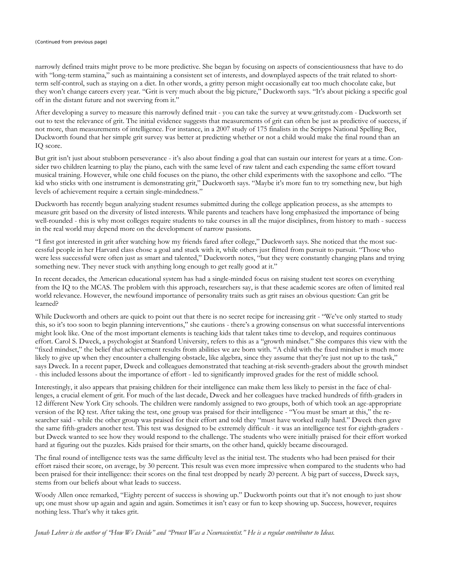#### *(Continued from previous page)*

narrowly defined traits might prove to be more predictive. She began by focusing on aspects of conscientiousness that have to do with "long-term stamina," such as maintaining a consistent set of interests, and downplayed aspects of the trait related to shortterm self-control, such as staying on a diet. In other words, a gritty person might occasionally eat too much chocolate cake, but they won't change careers every year. "Grit is very much about the big picture," Duckworth says. "It's about picking a specific goal off in the distant future and not swerving from it."

After developing a survey to measure this narrowly defined trait - you can take the survey at www.gritstudy.com - Duckworth set out to test the relevance of grit. The initial evidence suggests that measurements of grit can often be just as predictive of success, if not more, than measurements of intelligence. For instance, in a 2007 study of 175 finalists in the Scripps National Spelling Bee, Duckworth found that her simple grit survey was better at predicting whether or not a child would make the final round than an IQ score.

But grit isn't just about stubborn perseverance - it's also about finding a goal that can sustain our interest for years at a time. Consider two children learning to play the piano, each with the same level of raw talent and each expending the same effort toward musical training. However, while one child focuses on the piano, the other child experiments with the saxophone and cello. "The kid who sticks with one instrument is demonstrating grit," Duckworth says. "Maybe it's more fun to try something new, but high levels of achievement require a certain single-mindedness."

Duckworth has recently begun analyzing student resumes submitted during the college application process, as she attempts to measure grit based on the diversity of listed interests. While parents and teachers have long emphasized the importance of being well-rounded - this is why most colleges require students to take courses in all the major disciplines, from history to math - success in the real world may depend more on the development of narrow passions.

"I first got interested in grit after watching how my friends fared after college," Duckworth says. She noticed that the most successful people in her Harvard class chose a goal and stuck with it, while others just flitted from pursuit to pursuit. "Those who were less successful were often just as smart and talented," Duckworth notes, "but they were constantly changing plans and trying something new. They never stuck with anything long enough to get really good at it."

In recent decades, the American educational system has had a single-minded focus on raising student test scores on everything from the IQ to the MCAS. The problem with this approach, researchers say, is that these academic scores are often of limited real world relevance. However, the newfound importance of personality traits such as grit raises an obvious question: Can grit be learned?

While Duckworth and others are quick to point out that there is no secret recipe for increasing grit - "We've only started to study this, so it's too soon to begin planning interventions," she cautions - there's a growing consensus on what successful interventions might look like. One of the most important elements is teaching kids that talent takes time to develop, and requires continuous effort. Carol S. Dweck, a psychologist at Stanford University, refers to this as a "growth mindset." She compares this view with the "fixed mindset," the belief that achievement results from abilities we are born with. "A child with the fixed mindset is much more likely to give up when they encounter a challenging obstacle, like algebra, since they assume that they're just not up to the task," says Dweck. In a recent paper, Dweck and colleagues demonstrated that teaching at-risk seventh-graders about the growth mindset - this included lessons about the importance of effort - led to significantly improved grades for the rest of middle school.

Interestingly, it also appears that praising children for their intelligence can make them less likely to persist in the face of challenges, a crucial element of grit. For much of the last decade, Dweck and her colleagues have tracked hundreds of fifth-graders in 12 different New York City schools. The children were randomly assigned to two groups, both of which took an age-appropriate version of the IQ test. After taking the test, one group was praised for their intelligence - "You must be smart at this," the researcher said - while the other group was praised for their effort and told they "must have worked really hard." Dweck then gave the same fifth-graders another test. This test was designed to be extremely difficult - it was an intelligence test for eighth-graders but Dweck wanted to see how they would respond to the challenge. The students who were initially praised for their effort worked hard at figuring out the puzzles. Kids praised for their smarts, on the other hand, quickly became discouraged.

The final round of intelligence tests was the same difficulty level as the initial test. The students who had been praised for their effort raised their score, on average, by 30 percent. This result was even more impressive when compared to the students who had been praised for their intelligence: their scores on the final test dropped by nearly 20 percent. A big part of success, Dweck says, stems from our beliefs about what leads to success.

Woody Allen once remarked, "Eighty percent of success is showing up." Duckworth points out that it's not enough to just show up; one must show up again and again and again. Sometimes it isn't easy or fun to keep showing up. Success, however, requires nothing less. That's why it takes grit.

*Jonah Lehrer is the author of "How We Decide" and "Proust Was a Neuroscientist." He is a regular contributor to Ideas.*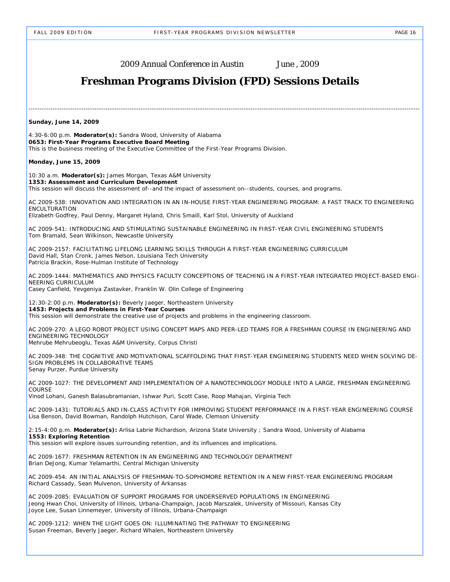---------------------------------------------------------------------------------------------------------------------------------------------------------------------------------- **Sunday, June 14, 2009**  4:30-6:00 p.m. **Moderator(s):** Sandra Wood, University of Alabama **0653: First-Year Programs Executive Board Meeting** This is the business meeting of the Executive Committee of the First-Year Programs Division. **Monday, June 15, 2009**  10:30 a.m. **Moderator(s):** James Morgan, Texas A&M University **1353: Assessment and Curriculum Development** This session will discuss the assessment of--and the impact of assessment on--students, courses, and programs. AC 2009-538: INNOVATION AND INTEGRATION IN AN IN-HOUSE FIRST-YEAR ENGINEERING PROGRAM: A FAST TRACK TO ENGINEERING ENCULTURATION Elizabeth Godfrey, Paul Denny, Margaret Hyland, Chris Smaill, Karl Stol, University of Auckland AC 2009-541: INTRODUCING AND STIMULATING SUSTAINABLE ENGINEERING IN FIRST-YEAR CIVIL ENGINEERING STUDENTS Tom Bramald, Sean Wilkinson, Newcastle University AC 2009-2157: FACILITATING LIFELONG LEARNING SKILLS THROUGH A FIRST-YEAR ENGINEERING CURRICULUM David Hall, Stan Cronk, James Nelson, Louisiana Tech University Patricia Brackin, Rose-Hulman Institute of Technology AC 2009-1444: MATHEMATICS AND PHYSICS FACULTY CONCEPTIONS OF TEACHING IN A FIRST-YEAR INTEGRATED PROJECT-BASED ENGI-NEERING CURRICULUM Casey Canfield, Yevgeniya Zastavker, Franklin W. Olin College of Engineering 12:30-2:00 p.m. **Moderator(s):** Beverly Jaeger, Northeastern University **1453: Projects and Problems in First-Year Courses** This session will demonstrate the creative use of projects and problems in the engineering classroom. AC 2009-270: A LEGO ROBOT PROJECT USING CONCEPT MAPS AND PEER-LED TEAMS FOR A FRESHMAN COURSE IN ENGINEERING AND ENGINEERING TECHNOLOGY Mehrube Mehrubeoglu, Texas A&M University, Corpus Christi AC 2009-348: THE COGNITIVE AND MOTIVATIONAL SCAFFOLDING THAT FIRST-YEAR ENGINEERING STUDENTS NEED WHEN SOLVING DE-SIGN PROBLEMS IN COLLABORATIVE TEAMS Senay Purzer, Purdue University AC 2009-1027: THE DEVELOPMENT AND IMPLEMENTATION OF A NANOTECHNOLOGY MODULE INTO A LARGE, FRESHMAN ENGINEERING **COURSE** Vinod Lohani, Ganesh Balasubramanian, Ishwar Puri, Scott Case, Roop Mahajan, Virginia Tech AC 2009-1431: TUTORIALS AND IN-CLASS ACTIVITY FOR IMPROVING STUDENT PERFORMANCE IN A FIRST-YEAR ENGINEERING COURSE Lisa Benson, David Bowman, Randolph Hutchison, Carol Wade, Clemson University 2:15-4:00 p.m. **Moderator(s):** Arlisa Labrie Richardson, Arizona State University ; Sandra Wood, University of Alabama **1553: Exploring Retention** This session will explore issues surrounding retention, and its influences and implications. AC 2009-1677: FRESHMAN RETENTION IN AN ENGINEERING AND TECHNOLOGY DEPARTMENT Brian DeJong, Kumar Yelamarthi, Central Michigan University AC 2009-454: AN INITIAL ANALYSIS OF FRESHMAN-TO-SOPHOMORE RETENTION IN A NEW FIRST-YEAR ENGINEERING PROGRAM Richard Cassady, Sean Mulvenon, University of Arkansas AC 2009-2085: EVALUATION OF SUPPORT PROGRAMS FOR UNDERSERVED POPULATIONS IN ENGINEERING Jeong Hwan Choi, University of Illinois, Urbana-Champaign, Jacob Marszalek, University of Missouri, Kansas City Joyce Lee, Susan Linnemeyer, University of Illinois, Urbana-Champaign AC 2009-1212: WHEN THE LIGHT GOES ON: ILLUMINATING THE PATHWAY TO ENGINEERING Susan Freeman, Beverly Jaeger, Richard Whalen, Northeastern University 2009 Annual Conference in Austin June , 2009 **Freshman Programs Division (FPD) Sessions Details**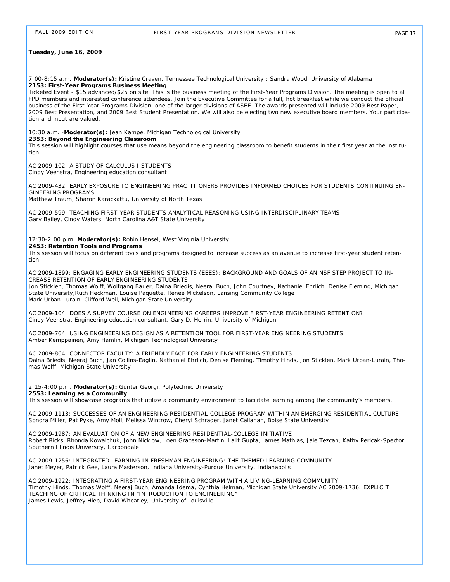#### **Tuesday, June 16, 2009**

7:00-8:15 a.m. **Moderator(s):** Kristine Craven, Tennessee Technological University ; Sandra Wood, University of Alabama **2153: First-Year Programs Business Meeting**

Ticketed Event - \$15 advanced/\$25 on site. This is the business meeting of the First-Year Programs Division. The meeting is open to all FPD members and interested conference attendees. Join the Executive Committee for a full, hot breakfast while we conduct the official business of the First-Year Programs Division, one of the larger divisions of ASEE. The awards presented will include 2009 Best Paper, 2009 Best Presentation, and 2009 Best Student Presentation. We will also be electing two new executive board members. Your participation and input are valued.

#### 10:30 a.m. -**Moderator(s):** Jean Kampe, Michigan Technological University **2353: Beyond the Engineering Classroom**

This session will highlight courses that use means beyond the engineering classroom to benefit students in their first year at the institution.

AC 2009-102: A STUDY OF CALCULUS I STUDENTS Cindy Veenstra, Engineering education consultant

AC 2009-432: EARLY EXPOSURE TO ENGINEERING PRACTITIONERS PROVIDES INFORMED CHOICES FOR STUDENTS CONTINUING EN-GINEERING PROGRAMS

Matthew Traum, Sharon Karackattu, University of North Texas

AC 2009-599: TEACHING FIRST-YEAR STUDENTS ANALYTICAL REASONING USING INTERDISCIPLINARY TEAMS Gary Bailey, Cindy Waters, North Carolina A&T State University

#### 12:30-2:00 p.m. **Moderator(s):** Robin Hensel, West Virginia University

#### **2453: Retention Tools and Programs**

This session will focus on different tools and programs designed to increase success as an avenue to increase first-year student retention.

AC 2009-1899: ENGAGING EARLY ENGINEERING STUDENTS (EEES): BACKGROUND AND GOALS OF AN NSF STEP PROJECT TO IN-CREASE RETENTION OF EARLY ENGINEERING STUDENTS

Jon Sticklen, Thomas Wolff, Wolfgang Bauer, Daina Briedis, Neeraj Buch, John Courtney, Nathaniel Ehrlich, Denise Fleming, Michigan State University,Ruth Heckman, Louise Paquette, Renee Mickelson, Lansing Community College Mark Urban-Lurain, Clifford Weil, Michigan State University

AC 2009-104: DOES A SURVEY COURSE ON ENGINEERING CAREERS IMPROVE FIRST-YEAR ENGINEERING RETENTION? Cindy Veenstra, Engineering education consultant, Gary D. Herrin, University of Michigan

AC 2009-764: USING ENGINEERING DESIGN AS A RETENTION TOOL FOR FIRST-YEAR ENGINEERING STUDENTS Amber Kemppainen, Amy Hamlin, Michigan Technological University

AC 2009-864: CONNECTOR FACULTY: A FRIENDLY FACE FOR EARLY ENGINEERING STUDENTS Daina Briedis, Neeraj Buch, Jan Collins-Eaglin, Nathaniel Ehrlich, Denise Fleming, Timothy Hinds, Jon Sticklen, Mark Urban-Lurain, Thomas Wolff, Michigan State University

2:15-4:00 p.m. **Moderator(s):** Gunter Georgi, Polytechnic University **2553: Learning as a Community**

This session will showcase programs that utilize a community environment to facilitate learning among the community's members.

AC 2009-1113: SUCCESSES OF AN ENGINEERING RESIDENTIAL-COLLEGE PROGRAM WITHIN AN EMERGING RESIDENTIAL CULTURE Sondra Miller, Pat Pyke, Amy Moll, Melissa Wintrow, Cheryl Schrader, Janet Callahan, Boise State University

AC 2009-1987: AN EVALUATION OF A NEW ENGINEERING RESIDENTIAL-COLLEGE INITIATIVE Robert Ricks, Rhonda Kowalchuk, John Nicklow, Loen Graceson-Martin, Lalit Gupta, James Mathias, Jale Tezcan, Kathy Pericak-Spector, Southern Illinois University, Carbondale

AC 2009-1256: INTEGRATED LEARNING IN FRESHMAN ENGINEERING: THE THEMED LEARNING COMMUNITY Janet Meyer, Patrick Gee, Laura Masterson, Indiana University-Purdue University, Indianapolis

AC 2009-1922: INTEGRATING A FIRST-YEAR ENGINEERING PROGRAM WITH A LIVING-LEARNING COMMUNITY Timothy Hinds, Thomas Wolff, Neeraj Buch, Amanda Idema, Cynthia Helman, Michigan State University AC 2009-1736: EXPLICIT TEACHING OF CRITICAL THINKING IN "INTRODUCTION TO ENGINEERING" James Lewis, Jeffrey Hieb, David Wheatley, University of Louisville